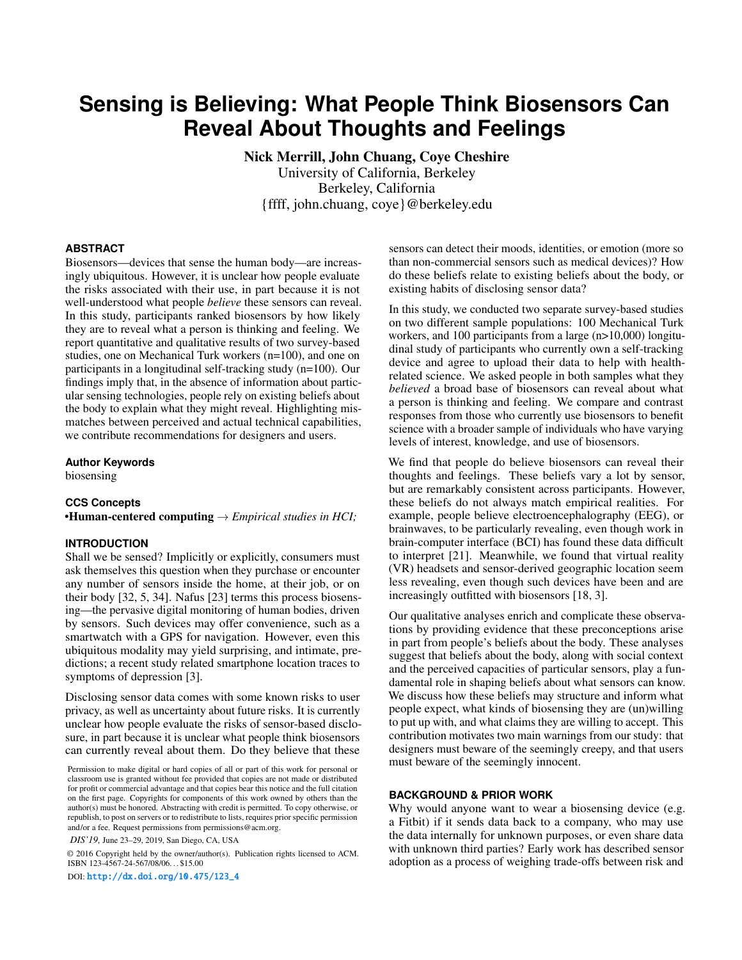# **Sensing is Believing: What People Think Biosensors Can Reveal About Thoughts and Feelings**

Nick Merrill, John Chuang, Coye Cheshire University of California, Berkeley Berkeley, California {ffff, john.chuang, coye}@berkeley.edu

#### **ABSTRACT**

Biosensors—devices that sense the human body—are increasingly ubiquitous. However, it is unclear how people evaluate the risks associated with their use, in part because it is not well-understood what people *believe* these sensors can reveal. In this study, participants ranked biosensors by how likely they are to reveal what a person is thinking and feeling. We report quantitative and qualitative results of two survey-based studies, one on Mechanical Turk workers (n=100), and one on participants in a longitudinal self-tracking study (n=100). Our findings imply that, in the absence of information about particular sensing technologies, people rely on existing beliefs about the body to explain what they might reveal. Highlighting mismatches between perceived and actual technical capabilities, we contribute recommendations for designers and users.

## **Author Keywords**

biosensing

#### **CCS Concepts**

•Human-centered computing → *Empirical studies in HCI;*

#### **INTRODUCTION**

Shall we be sensed? Implicitly or explicitly, consumers must ask themselves this question when they purchase or encounter any number of sensors inside the home, at their job, or on their body [\[32,](#page-7-0) [5,](#page-6-0) [34\]](#page-7-1). Nafus [\[23\]](#page-6-1) terms this process biosensing—the pervasive digital monitoring of human bodies, driven by sensors. Such devices may offer convenience, such as a smartwatch with a GPS for navigation. However, even this ubiquitous modality may yield surprising, and intimate, predictions; a recent study related smartphone location traces to symptoms of depression [\[3\]](#page-5-0).

Disclosing sensor data comes with some known risks to user privacy, as well as uncertainty about future risks. It is currently unclear how people evaluate the risks of sensor-based disclosure, in part because it is unclear what people think biosensors can currently reveal about them. Do they believe that these

*DIS'19,* June 23–29, 2019, San Diego, CA, USA

© 2016 Copyright held by the owner/author(s). Publication rights licensed to ACM. ISBN 123-4567-24-567/08/06. . . \$15.00

DOI: [http://dx.doi.org/10.475/123\\_4](http://dx.doi.org/10.475/123_4)

sensors can detect their moods, identities, or emotion (more so than non-commercial sensors such as medical devices)? How do these beliefs relate to existing beliefs about the body, or existing habits of disclosing sensor data?

In this study, we conducted two separate survey-based studies on two different sample populations: 100 Mechanical Turk workers, and 100 participants from a large (n>10,000) longitudinal study of participants who currently own a self-tracking device and agree to upload their data to help with healthrelated science. We asked people in both samples what they *believed* a broad base of biosensors can reveal about what a person is thinking and feeling. We compare and contrast responses from those who currently use biosensors to benefit science with a broader sample of individuals who have varying levels of interest, knowledge, and use of biosensors.

We find that people do believe biosensors can reveal their thoughts and feelings. These beliefs vary a lot by sensor, but are remarkably consistent across participants. However, these beliefs do not always match empirical realities. For example, people believe electroencephalography (EEG), or brainwaves, to be particularly revealing, even though work in brain-computer interface (BCI) has found these data difficult to interpret [\[21\]](#page-6-2). Meanwhile, we found that virtual reality (VR) headsets and sensor-derived geographic location seem less revealing, even though such devices have been and are increasingly outfitted with biosensors [\[18,](#page-6-3) [3\]](#page-5-0).

Our qualitative analyses enrich and complicate these observations by providing evidence that these preconceptions arise in part from people's beliefs about the body. These analyses suggest that beliefs about the body, along with social context and the perceived capacities of particular sensors, play a fundamental role in shaping beliefs about what sensors can know. We discuss how these beliefs may structure and inform what people expect, what kinds of biosensing they are (un)willing to put up with, and what claims they are willing to accept. This contribution motivates two main warnings from our study: that designers must beware of the seemingly creepy, and that users must beware of the seemingly innocent.

# **BACKGROUND & PRIOR WORK**

Why would anyone want to wear a biosensing device (e.g. a Fitbit) if it sends data back to a company, who may use the data internally for unknown purposes, or even share data with unknown third parties? Early work has described sensor adoption as a process of weighing trade-offs between risk and

Permission to make digital or hard copies of all or part of this work for personal or classroom use is granted without fee provided that copies are not made or distributed for profit or commercial advantage and that copies bear this notice and the full citation on the first page. Copyrights for components of this work owned by others than the author(s) must be honored. Abstracting with credit is permitted. To copy otherwise, or republish, to post on servers or to redistribute to lists, requires prior specific permission and/or a fee. Request permissions from permissions@acm.org.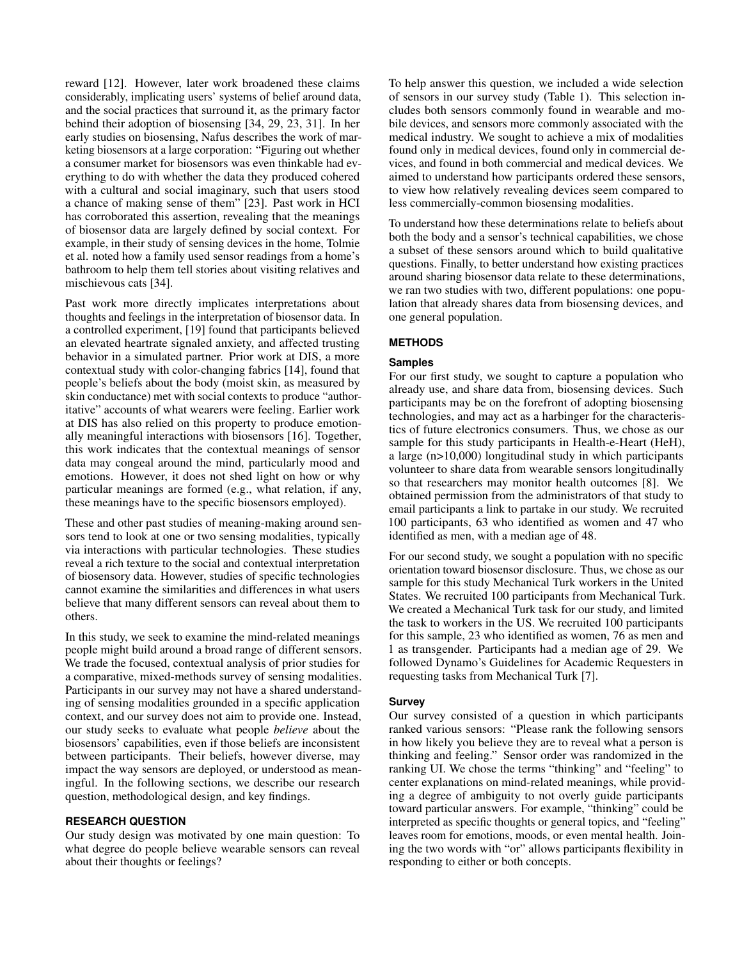reward [\[12\]](#page-6-4). However, later work broadened these claims considerably, implicating users' systems of belief around data, and the social practices that surround it, as the primary factor behind their adoption of biosensing [\[34,](#page-7-1) [29,](#page-7-2) [23,](#page-6-1) [31\]](#page-7-3). In her early studies on biosensing, Nafus describes the work of marketing biosensors at a large corporation: "Figuring out whether a consumer market for biosensors was even thinkable had everything to do with whether the data they produced cohered with a cultural and social imaginary, such that users stood a chance of making sense of them" [\[23\]](#page-6-1). Past work in HCI has corroborated this assertion, revealing that the meanings of biosensor data are largely defined by social context. For example, in their study of sensing devices in the home, Tolmie et al. noted how a family used sensor readings from a home's bathroom to help them tell stories about visiting relatives and mischievous cats [\[34\]](#page-7-1).

Past work more directly implicates interpretations about thoughts and feelings in the interpretation of biosensor data. In a controlled experiment, [\[19\]](#page-6-5) found that participants believed an elevated heartrate signaled anxiety, and affected trusting behavior in a simulated partner. Prior work at DIS, a more contextual study with color-changing fabrics [\[14\]](#page-6-6), found that people's beliefs about the body (moist skin, as measured by skin conductance) met with social contexts to produce "authoritative" accounts of what wearers were feeling. Earlier work at DIS has also relied on this property to produce emotionally meaningful interactions with biosensors [\[16\]](#page-6-7). Together, this work indicates that the contextual meanings of sensor data may congeal around the mind, particularly mood and emotions. However, it does not shed light on how or why particular meanings are formed (e.g., what relation, if any, these meanings have to the specific biosensors employed).

These and other past studies of meaning-making around sensors tend to look at one or two sensing modalities, typically via interactions with particular technologies. These studies reveal a rich texture to the social and contextual interpretation of biosensory data. However, studies of specific technologies cannot examine the similarities and differences in what users believe that many different sensors can reveal about them to others.

In this study, we seek to examine the mind-related meanings people might build around a broad range of different sensors. We trade the focused, contextual analysis of prior studies for a comparative, mixed-methods survey of sensing modalities. Participants in our survey may not have a shared understanding of sensing modalities grounded in a specific application context, and our survey does not aim to provide one. Instead, our study seeks to evaluate what people *believe* about the biosensors' capabilities, even if those beliefs are inconsistent between participants. Their beliefs, however diverse, may impact the way sensors are deployed, or understood as meaningful. In the following sections, we describe our research question, methodological design, and key findings.

# **RESEARCH QUESTION**

Our study design was motivated by one main question: To what degree do people believe wearable sensors can reveal about their thoughts or feelings?

To help answer this question, we included a wide selection of sensors in our survey study (Table [1\)](#page-2-0). This selection includes both sensors commonly found in wearable and mobile devices, and sensors more commonly associated with the medical industry. We sought to achieve a mix of modalities found only in medical devices, found only in commercial devices, and found in both commercial and medical devices. We aimed to understand how participants ordered these sensors, to view how relatively revealing devices seem compared to less commercially-common biosensing modalities.

To understand how these determinations relate to beliefs about both the body and a sensor's technical capabilities, we chose a subset of these sensors around which to build qualitative questions. Finally, to better understand how existing practices around sharing biosensor data relate to these determinations, we ran two studies with two, different populations: one population that already shares data from biosensing devices, and one general population.

# **METHODS**

## **Samples**

For our first study, we sought to capture a population who already use, and share data from, biosensing devices. Such participants may be on the forefront of adopting biosensing technologies, and may act as a harbinger for the characteristics of future electronics consumers. Thus, we chose as our sample for this study participants in Health-e-Heart (HeH), a large (n>10,000) longitudinal study in which participants volunteer to share data from wearable sensors longitudinally so that researchers may monitor health outcomes [\[8\]](#page-6-8). We obtained permission from the administrators of that study to email participants a link to partake in our study. We recruited 100 participants, 63 who identified as women and 47 who identified as men, with a median age of 48.

For our second study, we sought a population with no specific orientation toward biosensor disclosure. Thus, we chose as our sample for this study Mechanical Turk workers in the United States. We recruited 100 participants from Mechanical Turk. We created a Mechanical Turk task for our study, and limited the task to workers in the US. We recruited 100 participants for this sample, 23 who identified as women, 76 as men and 1 as transgender. Participants had a median age of 29. We followed Dynamo's Guidelines for Academic Requesters in requesting tasks from Mechanical Turk [\[7\]](#page-6-9).

# **Survey**

Our survey consisted of a question in which participants ranked various sensors: "Please rank the following sensors in how likely you believe they are to reveal what a person is thinking and feeling." Sensor order was randomized in the ranking UI. We chose the terms "thinking" and "feeling" to center explanations on mind-related meanings, while providing a degree of ambiguity to not overly guide participants toward particular answers. For example, "thinking" could be interpreted as specific thoughts or general topics, and "feeling" leaves room for emotions, moods, or even mental health. Joining the two words with "or" allows participants flexibility in responding to either or both concepts.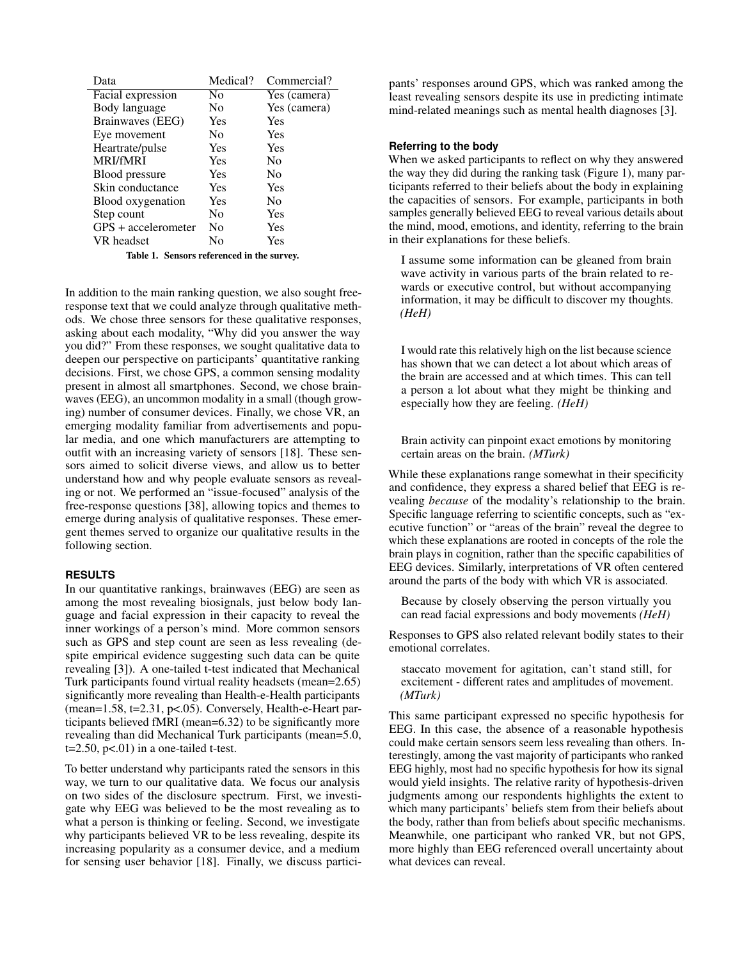| Data                 | Medical?       | Commercial?    |
|----------------------|----------------|----------------|
| Facial expression    | No             | Yes (camera)   |
| Body language        | N <sub>0</sub> | Yes (camera)   |
| Brainwaves (EEG)     | Yes            | Yes            |
| Eye movement         | Nο             | Yes            |
| Heartrate/pulse      | Yes            | Yes            |
| <b>MRI/fMRI</b>      | Yes            | No             |
| Blood pressure       | <b>Yes</b>     | N <sub>0</sub> |
| Skin conductance     | Yes            | Yes            |
| Blood oxygenation    | Yes            | No             |
| Step count           | Nο             | Yes            |
| $GPS + acceleration$ | Nο             | Yes            |
| VR headset           | Nο             | Yes            |

<span id="page-2-0"></span>Table 1. Sensors referenced in the survey.

In addition to the main ranking question, we also sought freeresponse text that we could analyze through qualitative methods. We chose three sensors for these qualitative responses, asking about each modality, "Why did you answer the way you did?" From these responses, we sought qualitative data to deepen our perspective on participants' quantitative ranking decisions. First, we chose GPS, a common sensing modality present in almost all smartphones. Second, we chose brainwaves (EEG), an uncommon modality in a small (though growing) number of consumer devices. Finally, we chose VR, an emerging modality familiar from advertisements and popular media, and one which manufacturers are attempting to outfit with an increasing variety of sensors [\[18\]](#page-6-3). These sensors aimed to solicit diverse views, and allow us to better understand how and why people evaluate sensors as revealing or not. We performed an "issue-focused" analysis of the free-response questions [\[38\]](#page-7-4), allowing topics and themes to emerge during analysis of qualitative responses. These emergent themes served to organize our qualitative results in the following section.

#### **RESULTS**

In our quantitative rankings, brainwaves (EEG) are seen as among the most revealing biosignals, just below body language and facial expression in their capacity to reveal the inner workings of a person's mind. More common sensors such as GPS and step count are seen as less revealing (despite empirical evidence suggesting such data can be quite revealing [\[3\]](#page-5-0)). A one-tailed t-test indicated that Mechanical Turk participants found virtual reality headsets (mean=2.65) significantly more revealing than Health-e-Health participants (mean=1.58, t=2.31, p<.05). Conversely, Health-e-Heart participants believed fMRI (mean=6.32) to be significantly more revealing than did Mechanical Turk participants (mean=5.0,  $t=2.50$ ,  $p<.01$ ) in a one-tailed t-test.

To better understand why participants rated the sensors in this way, we turn to our qualitative data. We focus our analysis on two sides of the disclosure spectrum. First, we investigate why EEG was believed to be the most revealing as to what a person is thinking or feeling. Second, we investigate why participants believed VR to be less revealing, despite its increasing popularity as a consumer device, and a medium for sensing user behavior [\[18\]](#page-6-3). Finally, we discuss participants' responses around GPS, which was ranked among the least revealing sensors despite its use in predicting intimate mind-related meanings such as mental health diagnoses [\[3\]](#page-5-0).

# **Referring to the body**

When we asked participants to reflect on why they answered the way they did during the ranking task (Figure [1\)](#page-3-0), many participants referred to their beliefs about the body in explaining the capacities of sensors. For example, participants in both samples generally believed EEG to reveal various details about the mind, mood, emotions, and identity, referring to the brain in their explanations for these beliefs.

I assume some information can be gleaned from brain wave activity in various parts of the brain related to rewards or executive control, but without accompanying information, it may be difficult to discover my thoughts. *(HeH)*

I would rate this relatively high on the list because science has shown that we can detect a lot about which areas of the brain are accessed and at which times. This can tell a person a lot about what they might be thinking and especially how they are feeling. *(HeH)*

Brain activity can pinpoint exact emotions by monitoring certain areas on the brain. *(MTurk)*

While these explanations range somewhat in their specificity and confidence, they express a shared belief that EEG is revealing *because* of the modality's relationship to the brain. Specific language referring to scientific concepts, such as "executive function" or "areas of the brain" reveal the degree to which these explanations are rooted in concepts of the role the brain plays in cognition, rather than the specific capabilities of EEG devices. Similarly, interpretations of VR often centered around the parts of the body with which VR is associated.

Because by closely observing the person virtually you can read facial expressions and body movements *(HeH)*

Responses to GPS also related relevant bodily states to their emotional correlates.

staccato movement for agitation, can't stand still, for excitement - different rates and amplitudes of movement. *(MTurk)*

This same participant expressed no specific hypothesis for EEG. In this case, the absence of a reasonable hypothesis could make certain sensors seem less revealing than others. Interestingly, among the vast majority of participants who ranked EEG highly, most had no specific hypothesis for how its signal would yield insights. The relative rarity of hypothesis-driven judgments among our respondents highlights the extent to which many participants' beliefs stem from their beliefs about the body, rather than from beliefs about specific mechanisms. Meanwhile, one participant who ranked VR, but not GPS, more highly than EEG referenced overall uncertainty about what devices can reveal.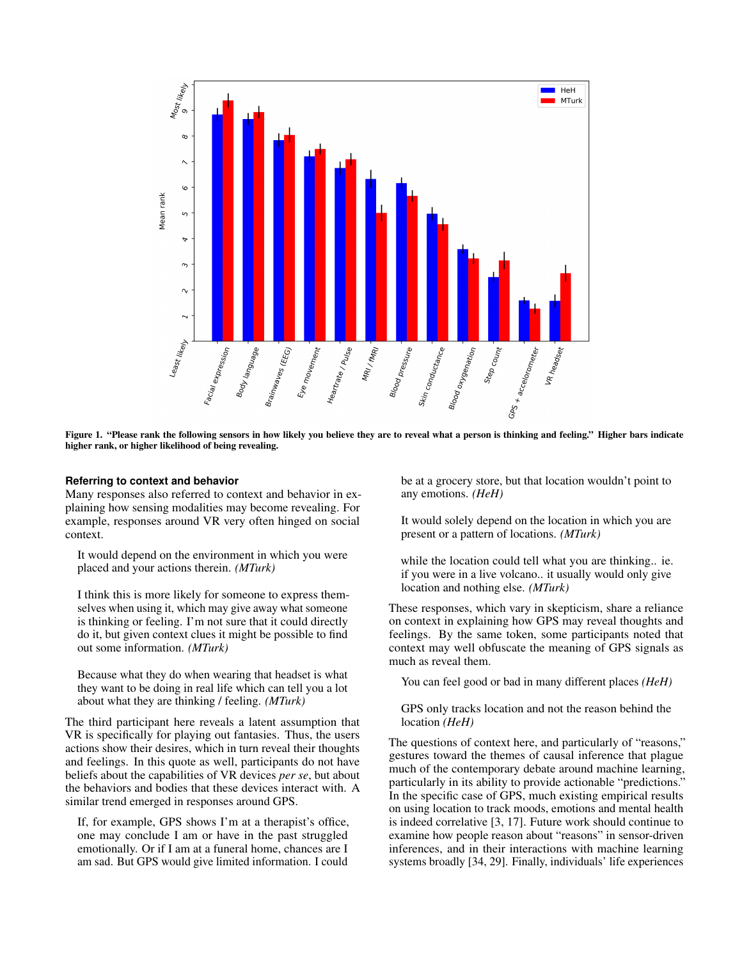

<span id="page-3-0"></span>Figure 1. "Please rank the following sensors in how likely you believe they are to reveal what a person is thinking and feeling." Higher bars indicate higher rank, or higher likelihood of being revealing.

## **Referring to context and behavior**

Many responses also referred to context and behavior in explaining how sensing modalities may become revealing. For example, responses around VR very often hinged on social context.

It would depend on the environment in which you were placed and your actions therein. *(MTurk)*

I think this is more likely for someone to express themselves when using it, which may give away what someone is thinking or feeling. I'm not sure that it could directly do it, but given context clues it might be possible to find out some information. *(MTurk)*

Because what they do when wearing that headset is what they want to be doing in real life which can tell you a lot about what they are thinking / feeling. *(MTurk)*

The third participant here reveals a latent assumption that VR is specifically for playing out fantasies. Thus, the users actions show their desires, which in turn reveal their thoughts and feelings. In this quote as well, participants do not have beliefs about the capabilities of VR devices *per se*, but about the behaviors and bodies that these devices interact with. A similar trend emerged in responses around GPS.

If, for example, GPS shows I'm at a therapist's office, one may conclude I am or have in the past struggled emotionally. Or if I am at a funeral home, chances are I am sad. But GPS would give limited information. I could be at a grocery store, but that location wouldn't point to any emotions. *(HeH)*

It would solely depend on the location in which you are present or a pattern of locations. *(MTurk)*

while the location could tell what you are thinking.. ie. if you were in a live volcano.. it usually would only give location and nothing else. *(MTurk)*

These responses, which vary in skepticism, share a reliance on context in explaining how GPS may reveal thoughts and feelings. By the same token, some participants noted that context may well obfuscate the meaning of GPS signals as much as reveal them.

You can feel good or bad in many different places *(HeH)*

GPS only tracks location and not the reason behind the location *(HeH)*

The questions of context here, and particularly of "reasons," gestures toward the themes of causal inference that plague much of the contemporary debate around machine learning, particularly in its ability to provide actionable "predictions." In the specific case of GPS, much existing empirical results on using location to track moods, emotions and mental health is indeed correlative [\[3,](#page-5-0) [17\]](#page-6-10). Future work should continue to examine how people reason about "reasons" in sensor-driven inferences, and in their interactions with machine learning systems broadly [\[34,](#page-7-1) [29\]](#page-7-2). Finally, individuals' life experiences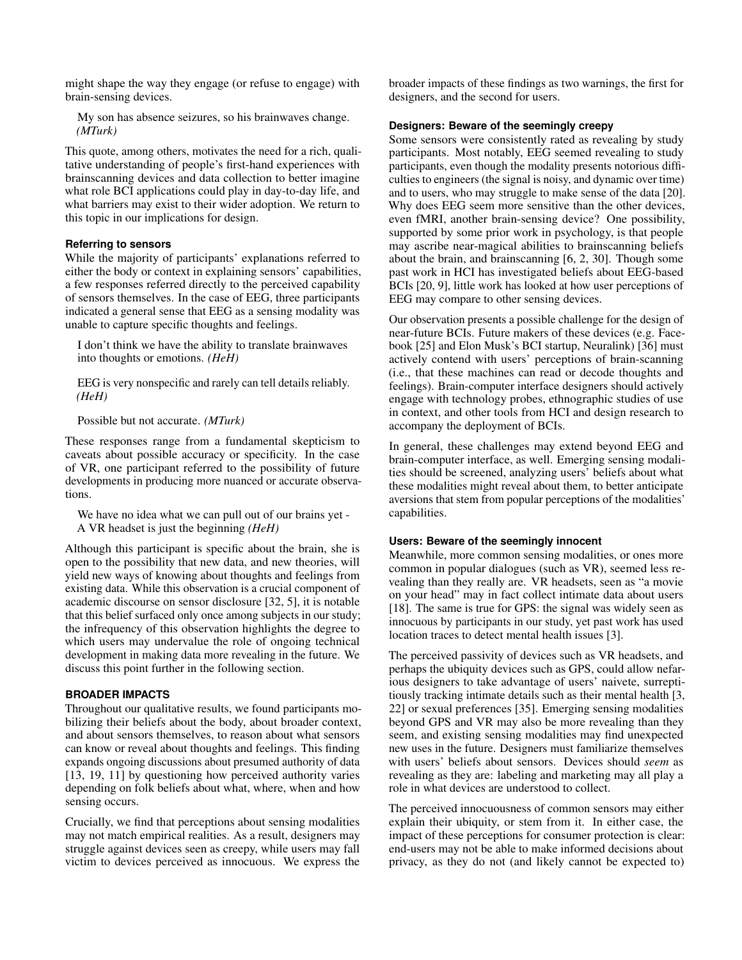might shape the way they engage (or refuse to engage) with brain-sensing devices.

My son has absence seizures, so his brainwaves change. *(MTurk)*

This quote, among others, motivates the need for a rich, qualitative understanding of people's first-hand experiences with brainscanning devices and data collection to better imagine what role BCI applications could play in day-to-day life, and what barriers may exist to their wider adoption. We return to this topic in our implications for design.

## **Referring to sensors**

While the majority of participants' explanations referred to either the body or context in explaining sensors' capabilities, a few responses referred directly to the perceived capability of sensors themselves. In the case of EEG, three participants indicated a general sense that EEG as a sensing modality was unable to capture specific thoughts and feelings.

I don't think we have the ability to translate brainwaves into thoughts or emotions. *(HeH)*

EEG is very nonspecific and rarely can tell details reliably. *(HeH)*

Possible but not accurate. *(MTurk)*

These responses range from a fundamental skepticism to caveats about possible accuracy or specificity. In the case of VR, one participant referred to the possibility of future developments in producing more nuanced or accurate observations.

We have no idea what we can pull out of our brains yet - A VR headset is just the beginning *(HeH)*

Although this participant is specific about the brain, she is open to the possibility that new data, and new theories, will yield new ways of knowing about thoughts and feelings from existing data. While this observation is a crucial component of academic discourse on sensor disclosure [\[32,](#page-7-0) [5\]](#page-6-0), it is notable that this belief surfaced only once among subjects in our study; the infrequency of this observation highlights the degree to which users may undervalue the role of ongoing technical development in making data more revealing in the future. We discuss this point further in the following section.

## **BROADER IMPACTS**

Throughout our qualitative results, we found participants mobilizing their beliefs about the body, about broader context, and about sensors themselves, to reason about what sensors can know or reveal about thoughts and feelings. This finding expands ongoing discussions about presumed authority of data [\[13,](#page-6-11) [19,](#page-6-5) [11\]](#page-6-12) by questioning how perceived authority varies depending on folk beliefs about what, where, when and how sensing occurs.

Crucially, we find that perceptions about sensing modalities may not match empirical realities. As a result, designers may struggle against devices seen as creepy, while users may fall victim to devices perceived as innocuous. We express the

broader impacts of these findings as two warnings, the first for designers, and the second for users.

#### **Designers: Beware of the seemingly creepy**

Some sensors were consistently rated as revealing by study participants. Most notably, EEG seemed revealing to study participants, even though the modality presents notorious difficulties to engineers (the signal is noisy, and dynamic over time) and to users, who may struggle to make sense of the data [\[20\]](#page-6-13). Why does EEG seem more sensitive than the other devices, even fMRI, another brain-sensing device? One possibility, supported by some prior work in psychology, is that people may ascribe near-magical abilities to brainscanning beliefs about the brain, and brainscanning [\[6,](#page-6-14) [2,](#page-5-1) [30\]](#page-7-5). Though some past work in HCI has investigated beliefs about EEG-based BCIs [\[20,](#page-6-13) [9\]](#page-6-15), little work has looked at how user perceptions of EEG may compare to other sensing devices.

Our observation presents a possible challenge for the design of near-future BCIs. Future makers of these devices (e.g. Facebook [\[25\]](#page-6-16) and Elon Musk's BCI startup, Neuralink) [\[36\]](#page-7-6) must actively contend with users' perceptions of brain-scanning (i.e., that these machines can read or decode thoughts and feelings). Brain-computer interface designers should actively engage with technology probes, ethnographic studies of use in context, and other tools from HCI and design research to accompany the deployment of BCIs.

In general, these challenges may extend beyond EEG and brain-computer interface, as well. Emerging sensing modalities should be screened, analyzing users' beliefs about what these modalities might reveal about them, to better anticipate aversions that stem from popular perceptions of the modalities' capabilities.

# **Users: Beware of the seemingly innocent**

Meanwhile, more common sensing modalities, or ones more common in popular dialogues (such as VR), seemed less revealing than they really are. VR headsets, seen as "a movie on your head" may in fact collect intimate data about users [\[18\]](#page-6-3). The same is true for GPS: the signal was widely seen as innocuous by participants in our study, yet past work has used location traces to detect mental health issues [\[3\]](#page-5-0).

The perceived passivity of devices such as VR headsets, and perhaps the ubiquity devices such as GPS, could allow nefarious designers to take advantage of users' naivete, surreptitiously tracking intimate details such as their mental health [\[3,](#page-5-0) [22\]](#page-6-17) or sexual preferences [\[35\]](#page-7-7). Emerging sensing modalities beyond GPS and VR may also be more revealing than they seem, and existing sensing modalities may find unexpected new uses in the future. Designers must familiarize themselves with users' beliefs about sensors. Devices should *seem* as revealing as they are: labeling and marketing may all play a role in what devices are understood to collect.

The perceived innocuousness of common sensors may either explain their ubiquity, or stem from it. In either case, the impact of these perceptions for consumer protection is clear: end-users may not be able to make informed decisions about privacy, as they do not (and likely cannot be expected to)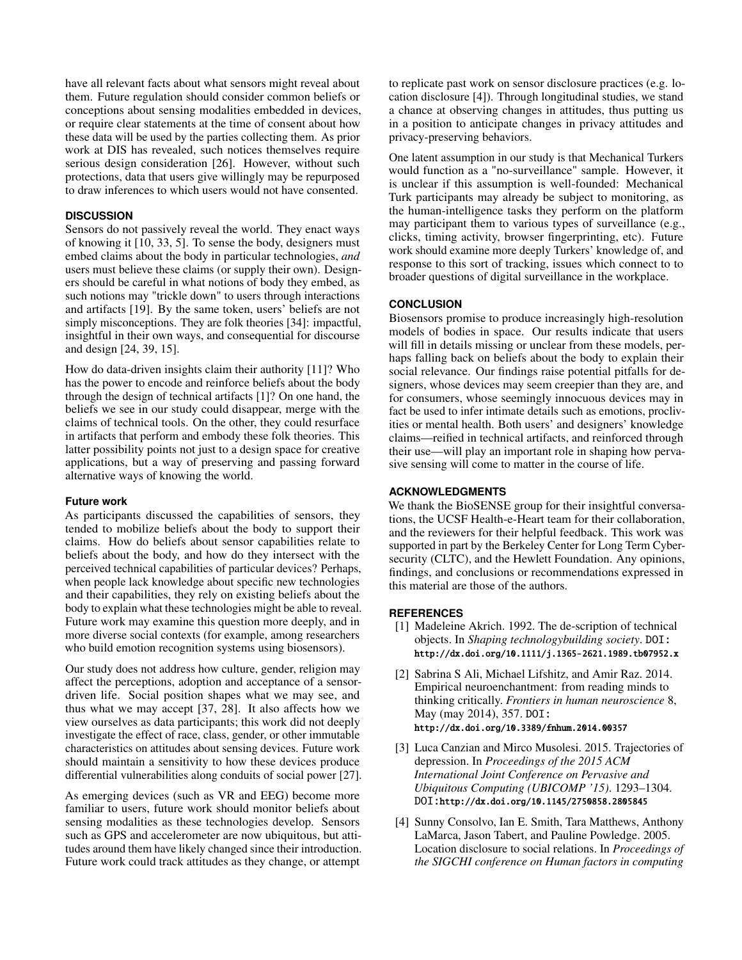have all relevant facts about what sensors might reveal about them. Future regulation should consider common beliefs or conceptions about sensing modalities embedded in devices, or require clear statements at the time of consent about how these data will be used by the parties collecting them. As prior work at DIS has revealed, such notices themselves require serious design consideration [\[26\]](#page-6-18). However, without such protections, data that users give willingly may be repurposed to draw inferences to which users would not have consented.

## **DISCUSSION**

Sensors do not passively reveal the world. They enact ways of knowing it [\[10,](#page-6-19) [33,](#page-7-8) [5\]](#page-6-0). To sense the body, designers must embed claims about the body in particular technologies, *and* users must believe these claims (or supply their own). Designers should be careful in what notions of body they embed, as such notions may "trickle down" to users through interactions and artifacts [\[19\]](#page-6-5). By the same token, users' beliefs are not simply misconceptions. They are folk theories [\[34\]](#page-7-1): impactful, insightful in their own ways, and consequential for discourse and design [\[24,](#page-6-20) [39,](#page-7-9) [15\]](#page-6-21).

How do data-driven insights claim their authority [\[11\]](#page-6-12)? Who has the power to encode and reinforce beliefs about the body through the design of technical artifacts [\[1\]](#page-5-2)? On one hand, the beliefs we see in our study could disappear, merge with the claims of technical tools. On the other, they could resurface in artifacts that perform and embody these folk theories. This latter possibility points not just to a design space for creative applications, but a way of preserving and passing forward alternative ways of knowing the world.

#### **Future work**

As participants discussed the capabilities of sensors, they tended to mobilize beliefs about the body to support their claims. How do beliefs about sensor capabilities relate to beliefs about the body, and how do they intersect with the perceived technical capabilities of particular devices? Perhaps, when people lack knowledge about specific new technologies and their capabilities, they rely on existing beliefs about the body to explain what these technologies might be able to reveal. Future work may examine this question more deeply, and in more diverse social contexts (for example, among researchers who build emotion recognition systems using biosensors).

Our study does not address how culture, gender, religion may affect the perceptions, adoption and acceptance of a sensordriven life. Social position shapes what we may see, and thus what we may accept [\[37,](#page-7-10) [28\]](#page-7-11). It also affects how we view ourselves as data participants; this work did not deeply investigate the effect of race, class, gender, or other immutable characteristics on attitudes about sensing devices. Future work should maintain a sensitivity to how these devices produce differential vulnerabilities along conduits of social power [\[27\]](#page-6-22).

As emerging devices (such as VR and EEG) become more familiar to users, future work should monitor beliefs about sensing modalities as these technologies develop. Sensors such as GPS and accelerometer are now ubiquitous, but attitudes around them have likely changed since their introduction. Future work could track attitudes as they change, or attempt

to replicate past work on sensor disclosure practices (e.g. location disclosure [\[4\]](#page-5-3)). Through longitudinal studies, we stand a chance at observing changes in attitudes, thus putting us in a position to anticipate changes in privacy attitudes and privacy-preserving behaviors.

One latent assumption in our study is that Mechanical Turkers would function as a "no-surveillance" sample. However, it is unclear if this assumption is well-founded: Mechanical Turk participants may already be subject to monitoring, as the human-intelligence tasks they perform on the platform may participant them to various types of surveillance (e.g., clicks, timing activity, browser fingerprinting, etc). Future work should examine more deeply Turkers' knowledge of, and response to this sort of tracking, issues which connect to to broader questions of digital surveillance in the workplace.

#### **CONCLUSION**

Biosensors promise to produce increasingly high-resolution models of bodies in space. Our results indicate that users will fill in details missing or unclear from these models, perhaps falling back on beliefs about the body to explain their social relevance. Our findings raise potential pitfalls for designers, whose devices may seem creepier than they are, and for consumers, whose seemingly innocuous devices may in fact be used to infer intimate details such as emotions, proclivities or mental health. Both users' and designers' knowledge claims—reified in technical artifacts, and reinforced through their use—will play an important role in shaping how pervasive sensing will come to matter in the course of life.

# **ACKNOWLEDGMENTS**

We thank the BioSENSE group for their insightful conversations, the UCSF Health-e-Heart team for their collaboration, and the reviewers for their helpful feedback. This work was supported in part by the Berkeley Center for Long Term Cybersecurity (CLTC), and the Hewlett Foundation. Any opinions, findings, and conclusions or recommendations expressed in this material are those of the authors.

## <span id="page-5-2"></span>**REFERENCES**

- [1] Madeleine Akrich. 1992. The de-scription of technical objects. In *Shaping technologybuilding society*. DOI: <http://dx.doi.org/10.1111/j.1365-2621.1989.tb07952.x>
- <span id="page-5-1"></span>[2] Sabrina S Ali, Michael Lifshitz, and Amir Raz. 2014. Empirical neuroenchantment: from reading minds to thinking critically. *Frontiers in human neuroscience* 8, May (may 2014), 357. DOI: <http://dx.doi.org/10.3389/fnhum.2014.00357>
- <span id="page-5-0"></span>[3] Luca Canzian and Mirco Musolesi. 2015. Trajectories of depression. In *Proceedings of the 2015 ACM International Joint Conference on Pervasive and Ubiquitous Computing (UBICOMP '15)*. 1293–1304. DOI:<http://dx.doi.org/10.1145/2750858.2805845>
- <span id="page-5-3"></span>[4] Sunny Consolvo, Ian E. Smith, Tara Matthews, Anthony LaMarca, Jason Tabert, and Pauline Powledge. 2005. Location disclosure to social relations. In *Proceedings of the SIGCHI conference on Human factors in computing*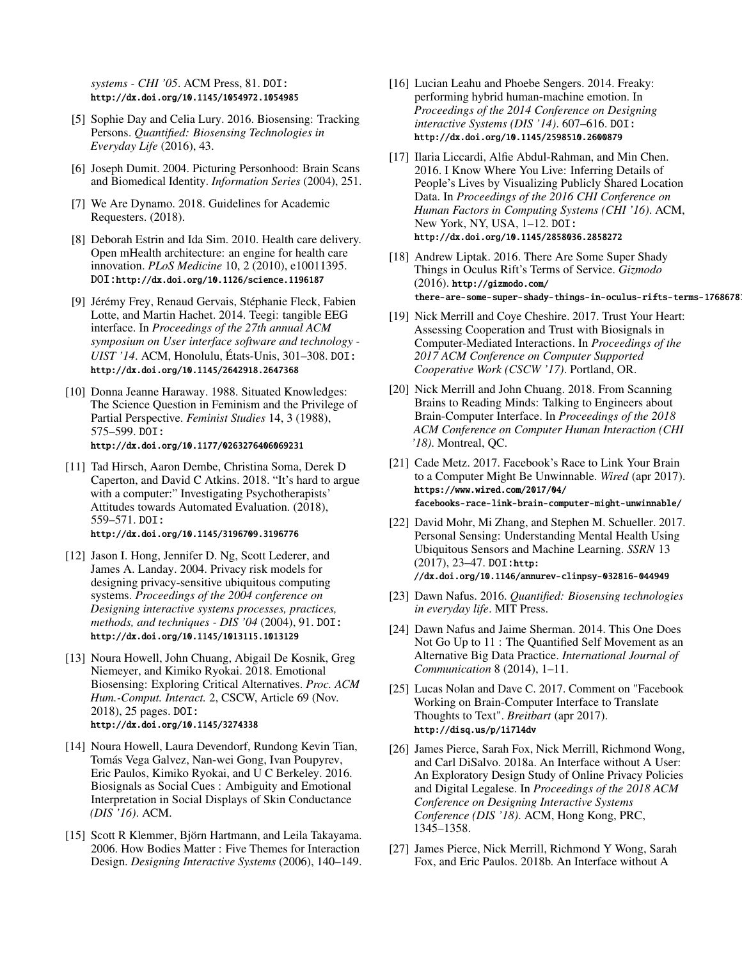*systems - CHI '05*. ACM Press, 81. DOI: <http://dx.doi.org/10.1145/1054972.1054985>

- <span id="page-6-0"></span>[5] Sophie Day and Celia Lury. 2016. Biosensing: Tracking Persons. *Quantified: Biosensing Technologies in Everyday Life* (2016), 43.
- <span id="page-6-14"></span>[6] Joseph Dumit. 2004. Picturing Personhood: Brain Scans and Biomedical Identity. *Information Series* (2004), 251.
- <span id="page-6-9"></span>[7] We Are Dynamo. 2018. Guidelines for Academic Requesters. (2018).
- <span id="page-6-8"></span>[8] Deborah Estrin and Ida Sim. 2010. Health care delivery. Open mHealth architecture: an engine for health care innovation. *PLoS Medicine* 10, 2 (2010), e10011395. DOI:<http://dx.doi.org/10.1126/science.1196187>
- <span id="page-6-15"></span>[9] Jérémy Frey, Renaud Gervais, Stéphanie Fleck, Fabien Lotte, and Martin Hachet. 2014. Teegi: tangible EEG interface. In *Proceedings of the 27th annual ACM symposium on User interface software and technology - UIST '14*. ACM, Honolulu, États-Unis, 301–308. DOI: <http://dx.doi.org/10.1145/2642918.2647368>
- <span id="page-6-19"></span>[10] Donna Jeanne Haraway. 1988. Situated Knowledges: The Science Question in Feminism and the Privilege of Partial Perspective. *Feminist Studies* 14, 3 (1988), 575–599. DOI: <http://dx.doi.org/10.1177/0263276406069231>
- <span id="page-6-12"></span>[11] Tad Hirsch, Aaron Dembe, Christina Soma, Derek D Caperton, and David C Atkins. 2018. "It's hard to argue with a computer:" Investigating Psychotherapists' Attitudes towards Automated Evaluation. (2018), 559–571. DOI: <http://dx.doi.org/10.1145/3196709.3196776>
- <span id="page-6-4"></span>[12] Jason I. Hong, Jennifer D. Ng, Scott Lederer, and James A. Landay. 2004. Privacy risk models for designing privacy-sensitive ubiquitous computing systems. *Proceedings of the 2004 conference on Designing interactive systems processes, practices, methods, and techniques - DIS '04* (2004), 91. DOI: <http://dx.doi.org/10.1145/1013115.1013129>
- <span id="page-6-11"></span>[13] Noura Howell, John Chuang, Abigail De Kosnik, Greg Niemeyer, and Kimiko Ryokai. 2018. Emotional Biosensing: Exploring Critical Alternatives. *Proc. ACM Hum.-Comput. Interact.* 2, CSCW, Article 69 (Nov. 2018), 25 pages. DOI: <http://dx.doi.org/10.1145/3274338>
- <span id="page-6-6"></span>[14] Noura Howell, Laura Devendorf, Rundong Kevin Tian, Tomás Vega Galvez, Nan-wei Gong, Ivan Poupyrev, Eric Paulos, Kimiko Ryokai, and U C Berkeley. 2016. Biosignals as Social Cues : Ambiguity and Emotional Interpretation in Social Displays of Skin Conductance *(DIS '16)*. ACM.
- <span id="page-6-21"></span>[15] Scott R Klemmer, Biörn Hartmann, and Leila Takayama. 2006. How Bodies Matter : Five Themes for Interaction Design. *Designing Interactive Systems* (2006), 140–149.
- <span id="page-6-7"></span>[16] Lucian Leahu and Phoebe Sengers. 2014. Freaky: performing hybrid human-machine emotion. In *Proceedings of the 2014 Conference on Designing interactive Systems (DIS '14)*. 607–616. DOI: <http://dx.doi.org/10.1145/2598510.2600879>
- <span id="page-6-10"></span>[17] Ilaria Liccardi, Alfie Abdul-Rahman, and Min Chen. 2016. I Know Where You Live: Inferring Details of People's Lives by Visualizing Publicly Shared Location Data. In *Proceedings of the 2016 CHI Conference on Human Factors in Computing Systems (CHI '16)*. ACM, New York, NY, USA, 1–12. DOI: <http://dx.doi.org/10.1145/2858036.2858272>
- <span id="page-6-3"></span>[18] Andrew Liptak. 2016. There Are Some Super Shady Things in Oculus Rift's Terms of Service. *Gizmodo*  $(2016)$ . [http://gizmodo.com/](http://gizmodo.com/there-are-some-super-shady-things-in-oculus-rifts-terms-1768678169) there-are-some-super-shady-things-in-oculus-rifts-terms-1768678
- <span id="page-6-5"></span>[19] Nick Merrill and Coye Cheshire. 2017. Trust Your Heart: Assessing Cooperation and Trust with Biosignals in Computer-Mediated Interactions. In *Proceedings of the 2017 ACM Conference on Computer Supported Cooperative Work (CSCW '17)*. Portland, OR.
- <span id="page-6-13"></span>[20] Nick Merrill and John Chuang. 2018. From Scanning Brains to Reading Minds: Talking to Engineers about Brain-Computer Interface. In *Proceedings of the 2018 ACM Conference on Computer Human Interaction (CHI '18)*. Montreal, QC.
- <span id="page-6-2"></span>[21] Cade Metz. 2017. Facebook's Race to Link Your Brain to a Computer Might Be Unwinnable. *Wired* (apr 2017). [https://www.wired.com/2017/04/](https://www.wired.com/2017/04/facebooks-race-link-brain-computer-might-unwinnable/) [facebooks-race-link-brain-computer-might-unwinnable/](https://www.wired.com/2017/04/facebooks-race-link-brain-computer-might-unwinnable/)
- <span id="page-6-17"></span>[22] David Mohr, Mi Zhang, and Stephen M. Schueller. 2017. Personal Sensing: Understanding Mental Health Using Ubiquitous Sensors and Machine Learning. *SSRN* 13 (2017), 23–47. DOI:[http:](http://dx.doi.org/10.1146/annurev-clinpsy-032816-044949) [//dx.doi.org/10.1146/annurev-clinpsy-032816-044949](http://dx.doi.org/10.1146/annurev-clinpsy-032816-044949)
- <span id="page-6-1"></span>[23] Dawn Nafus. 2016. *Quantified: Biosensing technologies in everyday life*. MIT Press.
- <span id="page-6-20"></span>[24] Dawn Nafus and Jaime Sherman. 2014. This One Does Not Go Up to 11 : The Quantified Self Movement as an Alternative Big Data Practice. *International Journal of Communication* 8 (2014), 1–11.
- <span id="page-6-16"></span>[25] Lucas Nolan and Dave C. 2017. Comment on "Facebook" Working on Brain-Computer Interface to Translate Thoughts to Text". *Breitbart* (apr 2017). <http://disq.us/p/1i7l4dv>
- <span id="page-6-18"></span>[26] James Pierce, Sarah Fox, Nick Merrill, Richmond Wong, and Carl DiSalvo. 2018a. An Interface without A User: An Exploratory Design Study of Online Privacy Policies and Digital Legalese. In *Proceedings of the 2018 ACM Conference on Designing Interactive Systems Conference (DIS '18)*. ACM, Hong Kong, PRC, 1345–1358.
- <span id="page-6-22"></span>[27] James Pierce, Nick Merrill, Richmond Y Wong, Sarah Fox, and Eric Paulos. 2018b. An Interface without A